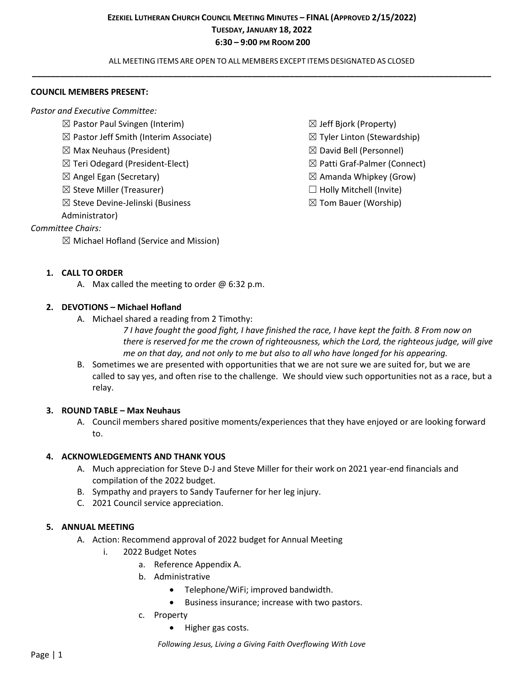ALL MEETING ITEMS ARE OPEN TO ALL MEMBERS EXCEPT ITEMS DESIGNATED AS CLOSED **\_\_\_\_\_\_\_\_\_\_\_\_\_\_\_\_\_\_\_\_\_\_\_\_\_\_\_\_\_\_\_\_\_\_\_\_\_\_\_\_\_\_\_\_\_\_\_\_\_\_\_\_\_\_\_\_\_\_\_\_\_\_\_\_\_\_\_\_\_\_\_\_\_\_\_\_\_\_\_\_\_\_\_\_\_\_\_\_\_\_\_\_\_\_\_\_\_\_**

#### **COUNCIL MEMBERS PRESENT:**

*Pastor and Executive Committee:*

- $\boxtimes$  Pastor Paul Svingen (Interim)
- $\boxtimes$  Pastor Jeff Smith (Interim Associate)
- $\boxtimes$  Max Neuhaus (President)
- ☒ Teri Odegard (President-Elect)
- $\boxtimes$  Angel Egan (Secretary)
- $\boxtimes$  Steve Miller (Treasurer)
- ☒ Steve Devine-Jelinski (Business

Administrator)

## *Committee Chairs:*

 $\boxtimes$  Michael Hofland (Service and Mission)

- $\boxtimes$  Jeff Bjork (Property)
- $\boxtimes$  Tyler Linton (Stewardship)
- ☒ David Bell (Personnel)
- ☒ Patti Graf-Palmer (Connect)
- $\boxtimes$  Amanda Whipkey (Grow)
- $\Box$  Holly Mitchell (Invite)
- $\boxtimes$  Tom Bauer (Worship)

### **1. CALL TO ORDER**

A. Max called the meeting to order  $\omega$  6:32 p.m.

### **2. DEVOTIONS – Michael Hofland**

A. Michael shared a reading from 2 Timothy:

*7 I have fought the good fight, I have finished the race, I have kept the faith. 8 From now on there is reserved for me the crown of righteousness, which the Lord, the righteous judge, will give me on that day, and not only to me but also to all who have longed for his appearing.*

B. Sometimes we are presented with opportunities that we are not sure we are suited for, but we are called to say yes, and often rise to the challenge. We should view such opportunities not as a race, but a relay.

#### **3. ROUND TABLE – Max Neuhaus**

A. Council members shared positive moments/experiences that they have enjoyed or are looking forward to.

#### **4. ACKNOWLEDGEMENTS AND THANK YOUS**

- A. Much appreciation for Steve D-J and Steve Miller for their work on 2021 year-end financials and compilation of the 2022 budget.
- B. Sympathy and prayers to Sandy Tauferner for her leg injury.
- C. 2021 Council service appreciation.

#### **5. ANNUAL MEETING**

- A. Action: Recommend approval of 2022 budget for Annual Meeting
	- i. 2022 Budget Notes
		- a. Reference Appendix A.
		- b. Administrative
			- Telephone/WiFi; improved bandwidth.
			- Business insurance; increase with two pastors.
		- c. Property
			- Higher gas costs.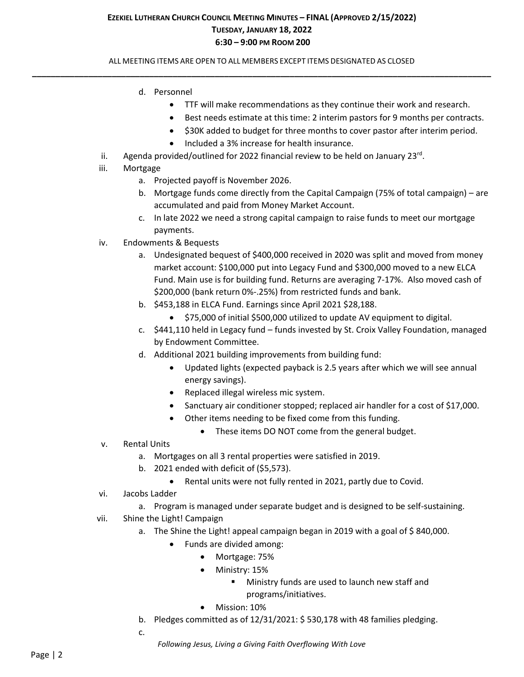### ALL MEETING ITEMS ARE OPEN TO ALL MEMBERS EXCEPT ITEMS DESIGNATED AS CLOSED **\_\_\_\_\_\_\_\_\_\_\_\_\_\_\_\_\_\_\_\_\_\_\_\_\_\_\_\_\_\_\_\_\_\_\_\_\_\_\_\_\_\_\_\_\_\_\_\_\_\_\_\_\_\_\_\_\_\_\_\_\_\_\_\_\_\_\_\_\_\_\_\_\_\_\_\_\_\_\_\_\_\_\_\_\_\_\_\_\_\_\_\_\_\_\_\_\_\_**

- d. Personnel
	- TTF will make recommendations as they continue their work and research.
	- Best needs estimate at this time: 2 interim pastors for 9 months per contracts.
	- \$30K added to budget for three months to cover pastor after interim period.
	- Included a 3% increase for health insurance.
- ii. Agenda provided/outlined for 2022 financial review to be held on January 23 $^{\text{rd}}$ .
- iii. Mortgage
	- a. Projected payoff is November 2026.
	- b. Mortgage funds come directly from the Capital Campaign (75% of total campaign) are accumulated and paid from Money Market Account.
	- c. In late 2022 we need a strong capital campaign to raise funds to meet our mortgage payments.
- iv. Endowments & Bequests
	- a. Undesignated bequest of \$400,000 received in 2020 was split and moved from money market account: \$100,000 put into Legacy Fund and \$300,000 moved to a new ELCA Fund. Main use is for building fund. Returns are averaging 7-17%. Also moved cash of \$200,000 (bank return 0%-.25%) from restricted funds and bank.
	- b. \$453,188 in ELCA Fund. Earnings since April 2021 \$28,188.
		- \$75,000 of initial \$500,000 utilized to update AV equipment to digital.
	- c. \$441,110 held in Legacy fund funds invested by St. Croix Valley Foundation, managed by Endowment Committee.
	- d. Additional 2021 building improvements from building fund:
		- Updated lights (expected payback is 2.5 years after which we will see annual energy savings).
		- Replaced illegal wireless mic system.
		- Sanctuary air conditioner stopped; replaced air handler for a cost of \$17,000.
		- Other items needing to be fixed come from this funding.
			- These items DO NOT come from the general budget.
- v. Rental Units
	- a. Mortgages on all 3 rental properties were satisfied in 2019.
	- b. 2021 ended with deficit of (\$5,573).
		- Rental units were not fully rented in 2021, partly due to Covid.
- vi. Jacobs Ladder
	- a. Program is managed under separate budget and is designed to be self-sustaining.
- vii. Shine the Light! Campaign
	- a. The Shine the Light! appeal campaign began in 2019 with a goal of \$840,000.
		- Funds are divided among:
			- Mortgage: 75%
			- Ministry: 15%
				- Ministry funds are used to launch new staff and programs/initiatives.
			- Mission: 10%
	- b. Pledges committed as of 12/31/2021: \$ 530,178 with 48 families pledging.
	- c.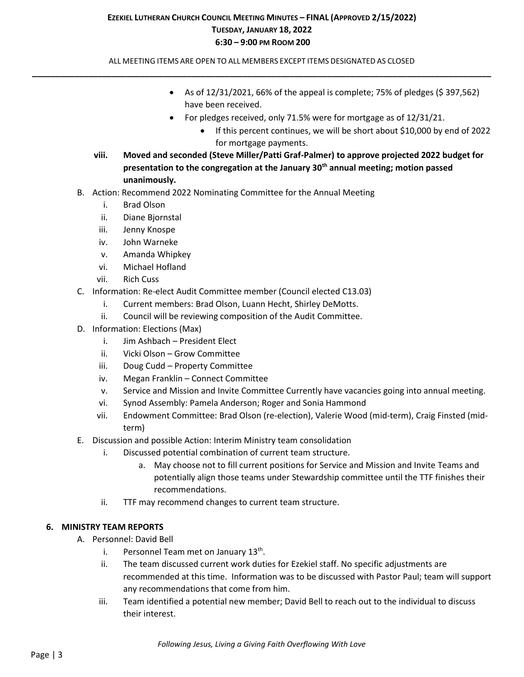ALL MEETING ITEMS ARE OPEN TO ALL MEMBERS EXCEPT ITEMS DESIGNATED AS CLOSED **\_\_\_\_\_\_\_\_\_\_\_\_\_\_\_\_\_\_\_\_\_\_\_\_\_\_\_\_\_\_\_\_\_\_\_\_\_\_\_\_\_\_\_\_\_\_\_\_\_\_\_\_\_\_\_\_\_\_\_\_\_\_\_\_\_\_\_\_\_\_\_\_\_\_\_\_\_\_\_\_\_\_\_\_\_\_\_\_\_\_\_\_\_\_\_\_\_\_**

- As of  $12/31/2021$ , 66% of the appeal is complete; 75% of pledges (\$ 397,562) have been received.
- For pledges received, only 71.5% were for mortgage as of 12/31/21.
	- If this percent continues, we will be short about \$10,000 by end of 2022 for mortgage payments.
- **viii. Moved and seconded (Steve Miller/Patti Graf-Palmer) to approve projected 2022 budget for presentation to the congregation at the January 30th annual meeting; motion passed unanimously.**
- B. Action: Recommend 2022 Nominating Committee for the Annual Meeting
	- i. Brad Olson
	- ii. Diane Bjornstal
	- iii. Jenny Knospe
	- iv. John Warneke
	- v. Amanda Whipkey
	- vi. Michael Hofland
	- vii. Rich Cuss
- C. Information: Re-elect Audit Committee member (Council elected C13.03)
	- i. Current members: Brad Olson, Luann Hecht, Shirley DeMotts.
	- ii. Council will be reviewing composition of the Audit Committee.
- D. Information: Elections (Max)
	- i. Jim Ashbach President Elect
	- ii. Vicki Olson Grow Committee
	- iii. Doug Cudd Property Committee
	- iv. Megan Franklin Connect Committee
	- v. Service and Mission and Invite Committee Currently have vacancies going into annual meeting.
	- vi. Synod Assembly: Pamela Anderson; Roger and Sonia Hammond
	- vii. Endowment Committee: Brad Olson (re-election), Valerie Wood (mid-term), Craig Finsted (midterm)
- E. Discussion and possible Action: Interim Ministry team consolidation
	- i. Discussed potential combination of current team structure.
		- a. May choose not to fill current positions for Service and Mission and Invite Teams and potentially align those teams under Stewardship committee until the TTF finishes their recommendations.
	- ii. TTF may recommend changes to current team structure.

## **6. MINISTRY TEAM REPORTS**

- A. Personnel: David Bell
	- i. Personnel Team met on January 13<sup>th</sup>.
	- ii. The team discussed current work duties for Ezekiel staff. No specific adjustments are recommended at this time. Information was to be discussed with Pastor Paul; team will support any recommendations that come from him.
	- iii. Team identified a potential new member; David Bell to reach out to the individual to discuss their interest.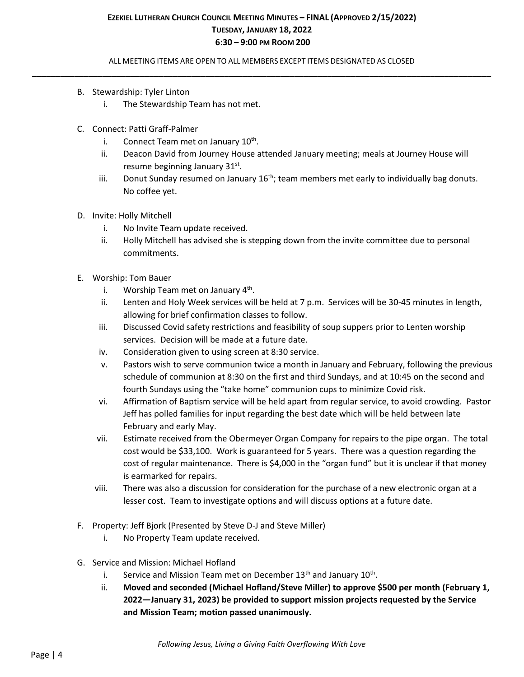ALL MEETING ITEMS ARE OPEN TO ALL MEMBERS EXCEPT ITEMS DESIGNATED AS CLOSED **\_\_\_\_\_\_\_\_\_\_\_\_\_\_\_\_\_\_\_\_\_\_\_\_\_\_\_\_\_\_\_\_\_\_\_\_\_\_\_\_\_\_\_\_\_\_\_\_\_\_\_\_\_\_\_\_\_\_\_\_\_\_\_\_\_\_\_\_\_\_\_\_\_\_\_\_\_\_\_\_\_\_\_\_\_\_\_\_\_\_\_\_\_\_\_\_\_\_**

- B. Stewardship: Tyler Linton
	- i. The Stewardship Team has not met.
- C. Connect: Patti Graff-Palmer
	- i. Connect Team met on January 10<sup>th</sup>.
	- ii. Deacon David from Journey House attended January meeting; meals at Journey House will resume beginning January 31st.
	- iii. Donut Sunday resumed on January  $16<sup>th</sup>$ ; team members met early to individually bag donuts. No coffee yet.
- D. Invite: Holly Mitchell
	- i. No Invite Team update received.
	- ii. Holly Mitchell has advised she is stepping down from the invite committee due to personal commitments.
- E. Worship: Tom Bauer
	- i. Worship Team met on January 4<sup>th</sup>.
	- ii. Lenten and Holy Week services will be held at 7 p.m. Services will be 30-45 minutes in length, allowing for brief confirmation classes to follow.
	- iii. Discussed Covid safety restrictions and feasibility of soup suppers prior to Lenten worship services. Decision will be made at a future date.
	- iv. Consideration given to using screen at 8:30 service.
	- v. Pastors wish to serve communion twice a month in January and February, following the previous schedule of communion at 8:30 on the first and third Sundays, and at 10:45 on the second and fourth Sundays using the "take home" communion cups to minimize Covid risk.
	- vi. Affirmation of Baptism service will be held apart from regular service, to avoid crowding. Pastor Jeff has polled families for input regarding the best date which will be held between late February and early May.
	- vii. Estimate received from the Obermeyer Organ Company for repairs to the pipe organ. The total cost would be \$33,100. Work is guaranteed for 5 years. There was a question regarding the cost of regular maintenance. There is \$4,000 in the "organ fund" but it is unclear if that money is earmarked for repairs.
	- viii. There was also a discussion for consideration for the purchase of a new electronic organ at a lesser cost. Team to investigate options and will discuss options at a future date.
- F. Property: Jeff Bjork (Presented by Steve D-J and Steve Miller)
	- i. No Property Team update received.
- G. Service and Mission: Michael Hofland
	- i. Service and Mission Team met on December 13<sup>th</sup> and January 10<sup>th</sup>.
	- ii. **Moved and seconded (Michael Hofland/Steve Miller) to approve \$500 per month (February 1, 2022—January 31, 2023) be provided to support mission projects requested by the Service and Mission Team; motion passed unanimously.**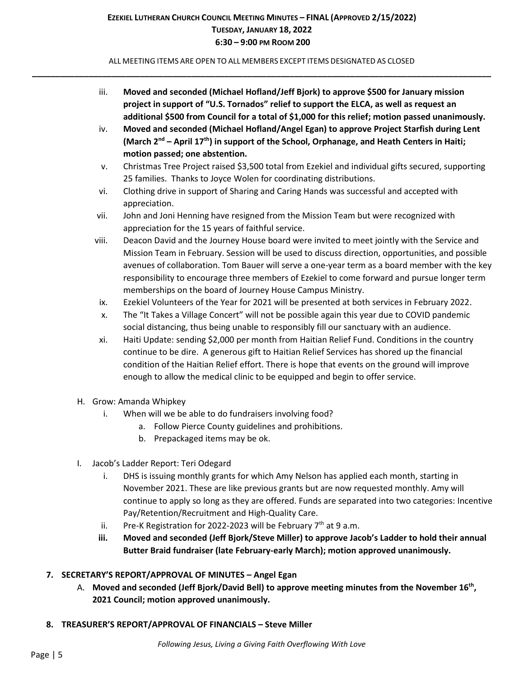ALL MEETING ITEMS ARE OPEN TO ALL MEMBERS EXCEPT ITEMS DESIGNATED AS CLOSED **\_\_\_\_\_\_\_\_\_\_\_\_\_\_\_\_\_\_\_\_\_\_\_\_\_\_\_\_\_\_\_\_\_\_\_\_\_\_\_\_\_\_\_\_\_\_\_\_\_\_\_\_\_\_\_\_\_\_\_\_\_\_\_\_\_\_\_\_\_\_\_\_\_\_\_\_\_\_\_\_\_\_\_\_\_\_\_\_\_\_\_\_\_\_\_\_\_\_**

- iii. **Moved and seconded (Michael Hofland/Jeff Bjork) to approve \$500 for January mission project in support of "U.S. Tornados" relief to support the ELCA, as well as request an additional \$500 from Council for a total of \$1,000 for this relief; motion passed unanimously.**
- iv. **Moved and seconded (Michael Hofland/Angel Egan) to approve Project Starfish during Lent (March 2 nd – April 17th) in support of the School, Orphanage, and Heath Centers in Haiti; motion passed; one abstention.**
- v. Christmas Tree Project raised \$3,500 total from Ezekiel and individual gifts secured, supporting 25 families. Thanks to Joyce Wolen for coordinating distributions.
- vi. Clothing drive in support of Sharing and Caring Hands was successful and accepted with appreciation.
- vii. John and Joni Henning have resigned from the Mission Team but were recognized with appreciation for the 15 years of faithful service.
- viii. Deacon David and the Journey House board were invited to meet jointly with the Service and Mission Team in February. Session will be used to discuss direction, opportunities, and possible avenues of collaboration. Tom Bauer will serve a one-year term as a board member with the key responsibility to encourage three members of Ezekiel to come forward and pursue longer term memberships on the board of Journey House Campus Ministry.
- ix. Ezekiel Volunteers of the Year for 2021 will be presented at both services in February 2022.
- x. The "It Takes a Village Concert" will not be possible again this year due to COVID pandemic social distancing, thus being unable to responsibly fill our sanctuary with an audience.
- xi. Haiti Update: sending \$2,000 per month from Haitian Relief Fund. Conditions in the country continue to be dire. A generous gift to Haitian Relief Services has shored up the financial condition of the Haitian Relief effort. There is hope that events on the ground will improve enough to allow the medical clinic to be equipped and begin to offer service.
- H. Grow: Amanda Whipkey
	- i. When will we be able to do fundraisers involving food?
		- a. Follow Pierce County guidelines and prohibitions.
		- b. Prepackaged items may be ok.
- I. Jacob's Ladder Report: Teri Odegard
	- i. DHS is issuing monthly grants for which Amy Nelson has applied each month, starting in November 2021. These are like previous grants but are now requested monthly. Amy will continue to apply so long as they are offered. Funds are separated into two categories: Incentive Pay/Retention/Recruitment and High-Quality Care.
	- ii. Pre-K Registration for 2022-2023 will be February  $7<sup>th</sup>$  at 9 a.m.
	- **iii. Moved and seconded (Jeff Bjork/Steve Miller) to approve Jacob's Ladder to hold their annual Butter Braid fundraiser (late February-early March); motion approved unanimously.**

# **7. SECRETARY'S REPORT/APPROVAL OF MINUTES – Angel Egan**

- A. **Moved and seconded (Jeff Bjork/David Bell) to approve meeting minutes from the November 16th , 2021 Council; motion approved unanimously.**
- **8. TREASURER'S REPORT/APPROVAL OF FINANCIALS – Steve Miller**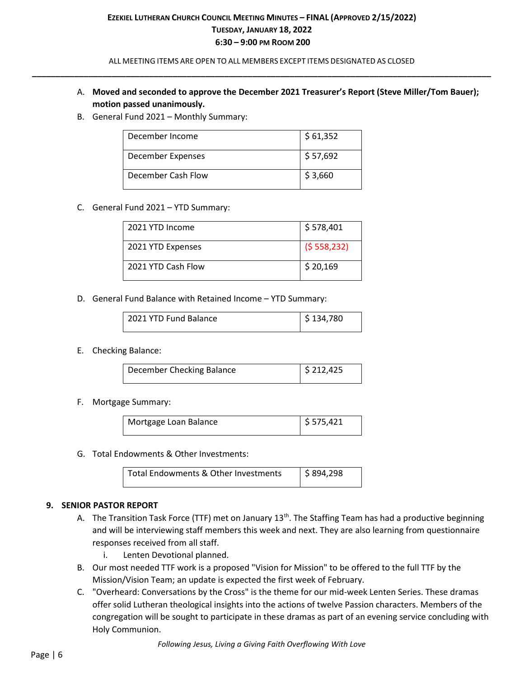ALL MEETING ITEMS ARE OPEN TO ALL MEMBERS EXCEPT ITEMS DESIGNATED AS CLOSED **\_\_\_\_\_\_\_\_\_\_\_\_\_\_\_\_\_\_\_\_\_\_\_\_\_\_\_\_\_\_\_\_\_\_\_\_\_\_\_\_\_\_\_\_\_\_\_\_\_\_\_\_\_\_\_\_\_\_\_\_\_\_\_\_\_\_\_\_\_\_\_\_\_\_\_\_\_\_\_\_\_\_\_\_\_\_\_\_\_\_\_\_\_\_\_\_\_\_**

- A. **Moved and seconded to approve the December 2021 Treasurer's Report (Steve Miller/Tom Bauer); motion passed unanimously.**
- B. General Fund 2021 Monthly Summary:

| December Income    | \$61,352 |
|--------------------|----------|
| December Expenses  | \$57,692 |
| December Cash Flow | \$3,660  |

#### C. General Fund 2021 – YTD Summary:

| 2021 YTD Income    | \$578,401   |
|--------------------|-------------|
| 2021 YTD Expenses  | (5558, 232) |
| 2021 YTD Cash Flow | \$20,169    |

D. General Fund Balance with Retained Income – YTD Summary:

| 2021 YTD Fund Balance | $\frac{1}{2}$ \$ 134,780 |
|-----------------------|--------------------------|
|                       |                          |

E. Checking Balance:

| December Checking Balance | $\frac{1}{2}$ \$ 212,425 |
|---------------------------|--------------------------|
|                           |                          |

#### F. Mortgage Summary:

| Mortgage Loan Balance | $\frac{1}{2}$ \$ 575,421 |
|-----------------------|--------------------------|
|                       |                          |
|                       |                          |

G. Total Endowments & Other Investments:

| l Total Endowments & Other Investments | $\frac{1}{2}$ \$ 894,298 |  |
|----------------------------------------|--------------------------|--|
|----------------------------------------|--------------------------|--|

## **9. SENIOR PASTOR REPORT**

- A. The Transition Task Force (TTF) met on January 13<sup>th</sup>. The Staffing Team has had a productive beginning and will be interviewing staff members this week and next. They are also learning from questionnaire responses received from all staff.
	- i. Lenten Devotional planned.
- B. Our most needed TTF work is a proposed "Vision for Mission" to be offered to the full TTF by the Mission/Vision Team; an update is expected the first week of February.
- C. "Overheard: Conversations by the Cross" is the theme for our mid-week Lenten Series. These dramas offer solid Lutheran theological insights into the actions of twelve Passion characters. Members of the congregation will be sought to participate in these dramas as part of an evening service concluding with Holy Communion.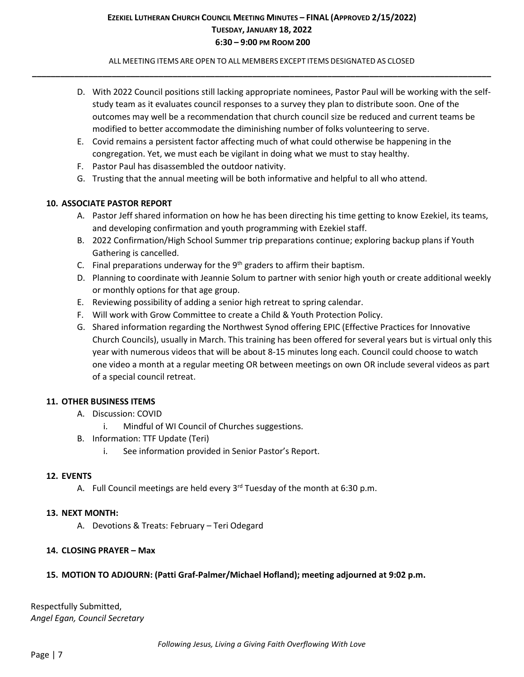ALL MEETING ITEMS ARE OPEN TO ALL MEMBERS EXCEPT ITEMS DESIGNATED AS CLOSED **\_\_\_\_\_\_\_\_\_\_\_\_\_\_\_\_\_\_\_\_\_\_\_\_\_\_\_\_\_\_\_\_\_\_\_\_\_\_\_\_\_\_\_\_\_\_\_\_\_\_\_\_\_\_\_\_\_\_\_\_\_\_\_\_\_\_\_\_\_\_\_\_\_\_\_\_\_\_\_\_\_\_\_\_\_\_\_\_\_\_\_\_\_\_\_\_\_\_**

- D. With 2022 Council positions still lacking appropriate nominees, Pastor Paul will be working with the selfstudy team as it evaluates council responses to a survey they plan to distribute soon. One of the outcomes may well be a recommendation that church council size be reduced and current teams be modified to better accommodate the diminishing number of folks volunteering to serve.
- E. Covid remains a persistent factor affecting much of what could otherwise be happening in the congregation. Yet, we must each be vigilant in doing what we must to stay healthy.
- F. Pastor Paul has disassembled the outdoor nativity.
- G. Trusting that the annual meeting will be both informative and helpful to all who attend.

## **10. ASSOCIATE PASTOR REPORT**

- A. Pastor Jeff shared information on how he has been directing his time getting to know Ezekiel, its teams, and developing confirmation and youth programming with Ezekiel staff.
- B. 2022 Confirmation/High School Summer trip preparations continue; exploring backup plans if Youth Gathering is cancelled.
- C. Final preparations underway for the  $9<sup>th</sup>$  graders to affirm their baptism.
- D. Planning to coordinate with Jeannie Solum to partner with senior high youth or create additional weekly or monthly options for that age group.
- E. Reviewing possibility of adding a senior high retreat to spring calendar.
- F. Will work with Grow Committee to create a Child & Youth Protection Policy.
- G. Shared information regarding the Northwest Synod offering EPIC (Effective Practices for Innovative Church Councils), usually in March. This training has been offered for several years but is virtual only this year with numerous videos that will be about 8-15 minutes long each. Council could choose to watch one video a month at a regular meeting OR between meetings on own OR include several videos as part of a special council retreat.

## **11. OTHER BUSINESS ITEMS**

- A. Discussion: COVID
	- i. Mindful of WI Council of Churches suggestions.
- B. Information: TTF Update (Teri)
	- i. See information provided in Senior Pastor's Report.

#### **12. EVENTS**

A. Full Council meetings are held every  $3<sup>rd</sup>$  Tuesday of the month at 6:30 p.m.

#### **13. NEXT MONTH:**

A. Devotions & Treats: February – Teri Odegard

## **14. CLOSING PRAYER – Max**

## **15. MOTION TO ADJOURN: (Patti Graf-Palmer/Michael Hofland); meeting adjourned at 9:02 p.m.**

Respectfully Submitted, *Angel Egan, Council Secretary*